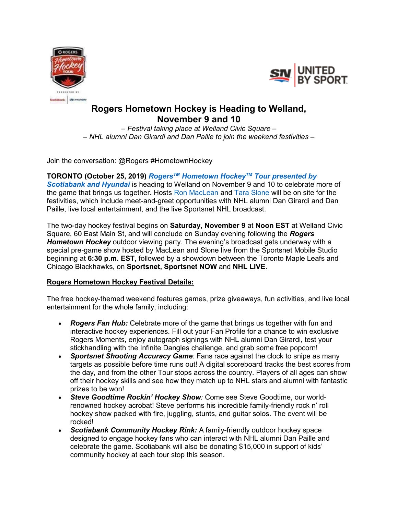



# **Rogers Hometown Hockey is Heading to Welland, November 9 and 10**

*– Festival taking place at Welland Civic Square – – NHL alumni Dan Girardi and Dan Paille to join the weekend festivities –* 

Join the conversation: @Rogers #HometownHockey

## **TORONTO (October 25, 2019)** *RogersTM [Hometown HockeyTM](http://www.hometownhockey.com/) Tour presented by*

*[Scotiabank and Hyundai](http://www.hometownhockey.com/)* is heading to Welland on November 9 and 10 to celebrate more of the game that brings us together. Hosts [Ron MacLean](https://twitter.com/ronmacleanhth) and [Tara Slone](https://twitter.com/TaraSlone) will be on site for the festivities, which include meet-and-greet opportunities with NHL alumni Dan Girardi and Dan Paille, live local entertainment, and the live Sportsnet NHL broadcast.

The two-day hockey festival begins on **Saturday, November 9** at **Noon EST** at Welland Civic Square, 60 East Main St, and will conclude on Sunday evening following the *Rogers Hometown Hockey* outdoor viewing party. The evening's broadcast gets underway with a special pre-game show hosted by MacLean and Slone live from the Sportsnet Mobile Studio beginning at **6:30 p.m. EST,** followed by a showdown between the Toronto Maple Leafs and Chicago Blackhawks, on **Sportsnet, Sportsnet NOW** and **NHL LIVE**.

## **Rogers Hometown Hockey Festival Details:**

The free hockey-themed weekend features games, prize giveaways, fun activities, and live local entertainment for the whole family, including:

- *Rogers Fan Hub:* Celebrate more of the game that brings us together with fun and interactive hockey experiences. Fill out your Fan Profile for a chance to win exclusive Rogers Moments, enjoy autograph signings with NHL alumni Dan Girardi, test your stickhandling with the Infinite Dangles challenge, and grab some free popcorn!
- *Sportsnet Shooting Accuracy Game:* Fans race against the clock to snipe as many targets as possible before time runs out! A digital scoreboard tracks the best scores from the day, and from the other Tour stops across the country. Players of all ages can show off their hockey skills and see how they match up to NHL stars and alumni with fantastic prizes to be won!
- *Steve Goodtime Rockin' Hockey Show:* Come see Steve Goodtime, our worldrenowned hockey acrobat! Steve performs his incredible family-friendly rock n' roll hockey show packed with fire, juggling, stunts, and guitar solos. The event will be rocked!
- *Scotiabank Community Hockey Rink:* A family-friendly outdoor hockey space designed to engage hockey fans who can interact with NHL alumni Dan Paille and celebrate the game. Scotiabank will also be donating \$15,000 in support of kids' community hockey at each tour stop this season.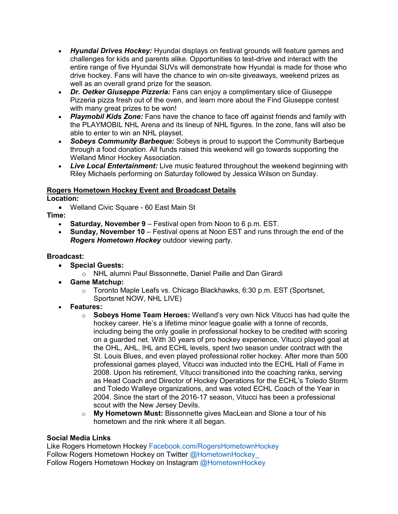- *Hyundai Drives Hockey:* Hyundai displays on festival grounds will feature games and challenges for kids and parents alike. Opportunities to test-drive and interact with the entire range of five Hyundai SUVs will demonstrate how Hyundai is made for those who drive hockey. Fans will have the chance to win on-site giveaways, weekend prizes as well as an overall grand prize for the season.
- *Dr. Oetker Giuseppe Pizzeria:* Fans can enjoy a complimentary slice of Giuseppe Pizzeria pizza fresh out of the oven, and learn more about the Find Giuseppe contest with many great prizes to be won!
- *Playmobil Kids Zone:* Fans have the chance to face off against friends and family with the PLAYMOBIL NHL Arena and its lineup of NHL figures. In the zone, fans will also be able to enter to win an NHL playset.
- *Sobeys Community Barbeque:* Sobeys is proud to support the Community Barbeque through a food donation. All funds raised this weekend will go towards supporting the Welland Minor Hockey Association.
- *Live Local Entertainment:* Live music featured throughout the weekend beginning with Riley Michaels performing on Saturday followed by Jessica Wilson on Sunday.

# **Rogers Hometown Hockey Event and Broadcast Details**

**Location:**

• Welland Civic Square - 60 East Main St

# **Time:**

- **Saturday, November 9**  Festival open from Noon to 6 p.m. EST.
- **Sunday, November 10**  Festival opens at Noon EST and runs through the end of the *Rogers Hometown Hockey* outdoor viewing party.

# **Broadcast:**

- **Special Guests:**
	- o NHL alumni Paul Bissonnette, Daniel Paille and Dan Girardi
- **Game Matchup:**
	- o Toronto Maple Leafs vs. Chicago Blackhawks, 6:30 p.m. EST (Sportsnet, Sportsnet NOW, NHL LIVE)
- **Features:**
	- o **Sobeys Home Team Heroes:** Welland's very own Nick Vitucci has had quite the hockey career. He's a lifetime minor league goalie with a tonne of records, including being the only goalie in professional hockey to be credited with scoring on a guarded net. With 30 years of pro hockey experience, Vitucci played goal at the OHL, AHL, IHL and ECHL levels, spent two season under contract with the St. Louis Blues, and even played professional roller hockey. After more than 500 professional games played, Vitucci was inducted into the ECHL Hall of Fame in 2008. Upon his retirement, Vitucci transitioned into the coaching ranks, serving as Head Coach and Director of Hockey Operations for the ECHL's Toledo Storm and Toledo Walleye organizations, and was voted ECHL Coach of the Year in 2004. Since the start of the 2016-17 season, Vitucci has been a professional scout with the New Jersey Devils.
	- o **My Hometown Must:** Bissonnette gives MacLean and Slone a tour of his hometown and the rink where it all began.

## **Social Media Links**

Like Rogers Hometown Hockey [Facebook.com/RogersHometownHockey](http://www.facebook.com/RogersHometownHockey) Follow Rogers Hometown Hockey on Twitter @HometownHockey Follow Rogers Hometown Hockey on Instagram [@HometownHockey](http://instagram.com/hometownhockey)